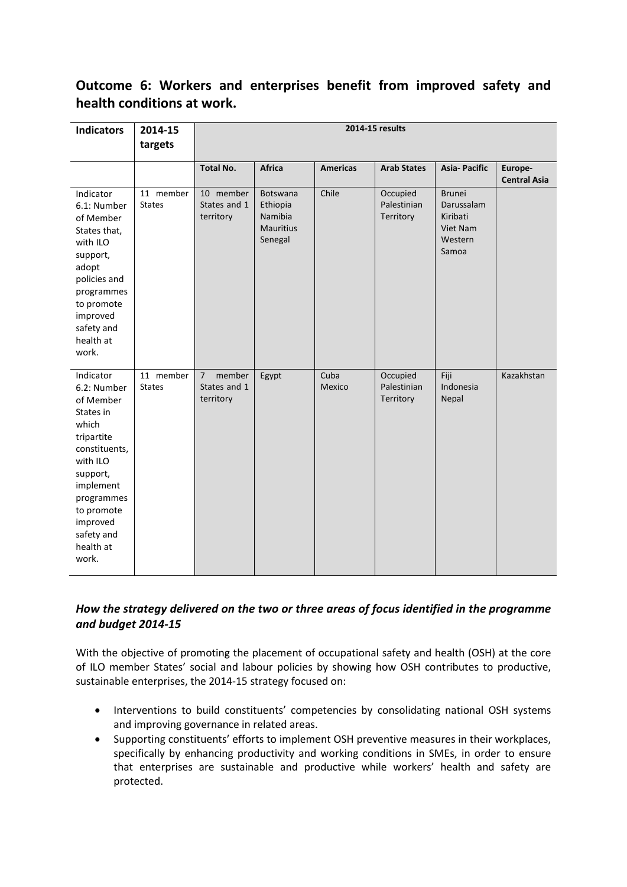# **Outcome 6: Workers and enterprises benefit from improved safety and health conditions at work.**

| <b>Indicators</b>                                                                                                                                                                                           | 2014-15<br>targets         | 2014-15 results                                       |                                                                       |                 |                                      |                                                                         |                                |
|-------------------------------------------------------------------------------------------------------------------------------------------------------------------------------------------------------------|----------------------------|-------------------------------------------------------|-----------------------------------------------------------------------|-----------------|--------------------------------------|-------------------------------------------------------------------------|--------------------------------|
|                                                                                                                                                                                                             |                            | <b>Total No.</b>                                      | <b>Africa</b>                                                         | <b>Americas</b> | <b>Arab States</b>                   | <b>Asia-Pacific</b>                                                     | Europe-<br><b>Central Asia</b> |
| Indicator<br>6.1: Number<br>of Member<br>States that,<br>with ILO<br>support,<br>adopt<br>policies and<br>programmes<br>to promote<br>improved<br>safety and<br>health at<br>work.                          | 11 member<br><b>States</b> | 10 member<br>States and 1<br>territory                | <b>Botswana</b><br>Ethiopia<br>Namibia<br><b>Mauritius</b><br>Senegal | Chile           | Occupied<br>Palestinian<br>Territory | <b>Brunei</b><br>Darussalam<br>Kiribati<br>Viet Nam<br>Western<br>Samoa |                                |
| Indicator<br>6.2: Number<br>of Member<br>States in<br>which<br>tripartite<br>constituents,<br>with ILO<br>support,<br>implement<br>programmes<br>to promote<br>improved<br>safety and<br>health at<br>work. | 11 member<br><b>States</b> | member<br>$\overline{7}$<br>States and 1<br>territory | Egypt                                                                 | Cuba<br>Mexico  | Occupied<br>Palestinian<br>Territory | Fiji<br>Indonesia<br>Nepal                                              | Kazakhstan                     |

## *How the strategy delivered on the two or three areas of focus identified in the programme and budget 2014-15*

With the objective of promoting the placement of occupational safety and health (OSH) at the core of ILO member States' social and labour policies by showing how OSH contributes to productive, sustainable enterprises, the 2014-15 strategy focused on:

- Interventions to build constituents' competencies by consolidating national OSH systems and improving governance in related areas.
- Supporting constituents' efforts to implement OSH preventive measures in their workplaces, specifically by enhancing productivity and working conditions in SMEs, in order to ensure that enterprises are sustainable and productive while workers' health and safety are protected.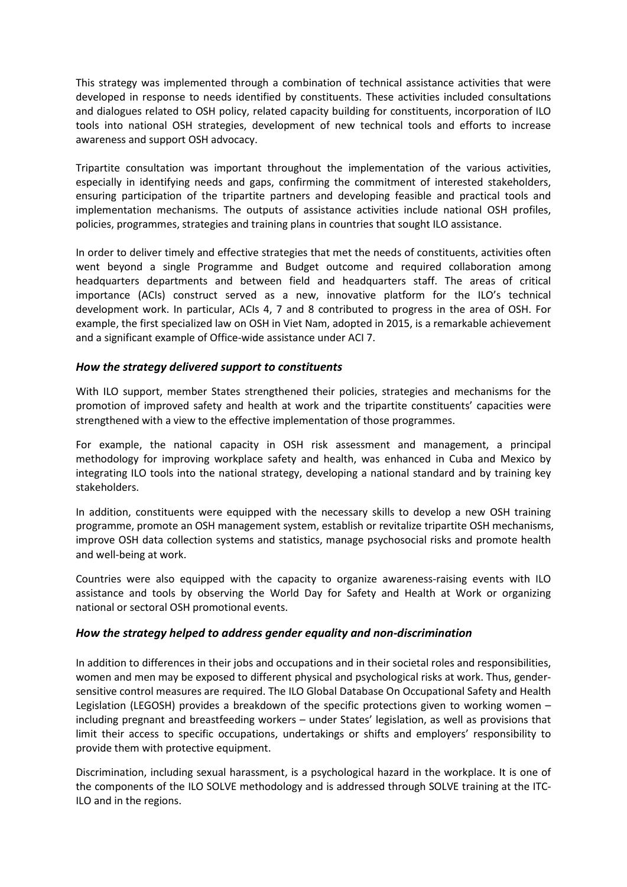This strategy was implemented through a combination of technical assistance activities that were developed in response to needs identified by constituents. These activities included consultations and dialogues related to OSH policy, related capacity building for constituents, incorporation of ILO tools into national OSH strategies, development of new technical tools and efforts to increase awareness and support OSH advocacy.

Tripartite consultation was important throughout the implementation of the various activities, especially in identifying needs and gaps, confirming the commitment of interested stakeholders, ensuring participation of the tripartite partners and developing feasible and practical tools and implementation mechanisms. The outputs of assistance activities include national OSH profiles, policies, programmes, strategies and training plans in countries that sought ILO assistance.

In order to deliver timely and effective strategies that met the needs of constituents, activities often went beyond a single Programme and Budget outcome and required collaboration among headquarters departments and between field and headquarters staff. The areas of critical importance (ACIs) construct served as a new, innovative platform for the ILO's technical development work. In particular, ACIs 4, 7 and 8 contributed to progress in the area of OSH. For example, the first specialized law on OSH in Viet Nam, adopted in 2015, is a remarkable achievement and a significant example of Office-wide assistance under ACI 7.

### *How the strategy delivered support to constituents*

With ILO support, member States strengthened their policies, strategies and mechanisms for the promotion of improved safety and health at work and the tripartite constituents' capacities were strengthened with a view to the effective implementation of those programmes.

For example, the national capacity in OSH risk assessment and management, a principal methodology for improving workplace safety and health, was enhanced in Cuba and Mexico by integrating ILO tools into the national strategy, developing a national standard and by training key stakeholders.

In addition, constituents were equipped with the necessary skills to develop a new OSH training programme, promote an OSH management system, establish or revitalize tripartite OSH mechanisms, improve OSH data collection systems and statistics, manage psychosocial risks and promote health and well-being at work.

Countries were also equipped with the capacity to organize awareness-raising events with ILO assistance and tools by observing the World Day for Safety and Health at Work or organizing national or sectoral OSH promotional events.

#### *How the strategy helped to address gender equality and non-discrimination*

In addition to differences in their jobs and occupations and in their societal roles and responsibilities, women and men may be exposed to different physical and psychological risks at work. Thus, gendersensitive control measures are required. The ILO Global Database On Occupational Safety and Health Legislation (LEGOSH) provides a breakdown of the specific protections given to working women – including pregnant and breastfeeding workers – under States' legislation, as well as provisions that limit their access to specific occupations, undertakings or shifts and employers' responsibility to provide them with protective equipment.

Discrimination, including sexual harassment, is a psychological hazard in the workplace. It is one of the components of the ILO SOLVE methodology and is addressed through SOLVE training at the ITC-ILO and in the regions.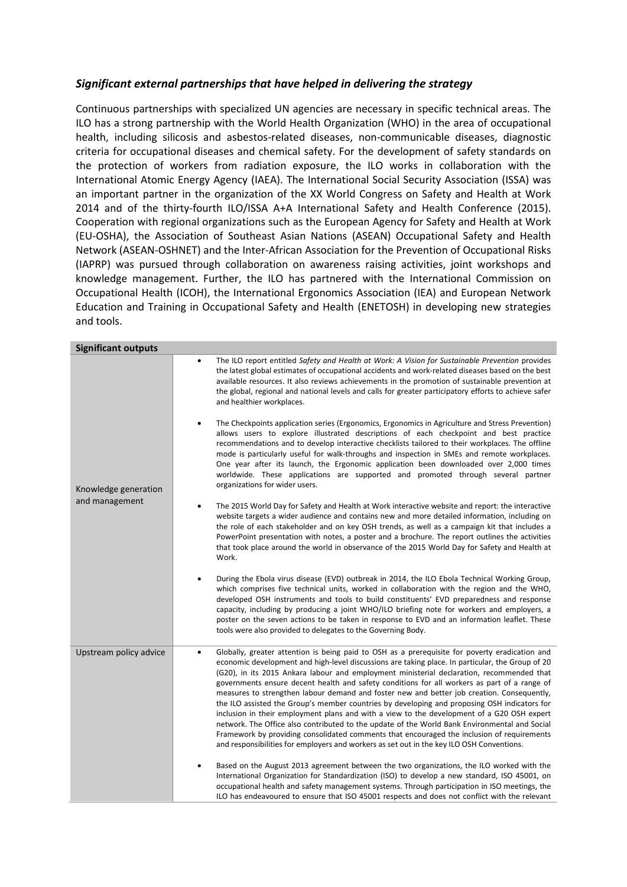### *Significant external partnerships that have helped in delivering the strategy*

Continuous partnerships with specialized UN agencies are necessary in specific technical areas. The ILO has a strong partnership with the World Health Organization (WHO) in the area of occupational health, including silicosis and asbestos-related diseases, non-communicable diseases, diagnostic criteria for occupational diseases and chemical safety. For the development of safety standards on the protection of workers from radiation exposure, the ILO works in collaboration with the International Atomic Energy Agency (IAEA). The International Social Security Association (ISSA) was an important partner in the organization of the XX World Congress on Safety and Health at Work 2014 and of the thirty-fourth ILO/ISSA A+A International Safety and Health Conference (2015). Cooperation with regional organizations such as the European Agency for Safety and Health at Work (EU-OSHA), the Association of Southeast Asian Nations (ASEAN) Occupational Safety and Health Network (ASEAN-OSHNET) and the Inter-African Association for the Prevention of Occupational Risks (IAPRP) was pursued through collaboration on awareness raising activities, joint workshops and knowledge management. Further, the ILO has partnered with the International Commission on Occupational Health (ICOH), the International Ergonomics Association (IEA) and European Network Education and Training in Occupational Safety and Health (ENETOSH) in developing new strategies and tools.

| <b>Significant outputs</b> |                                                                                                                                                                                                                                                                                                                                                                                                                                                                                                                                                                                                                                                                                                                                                                                                                                                                                                                                                                                                                           |
|----------------------------|---------------------------------------------------------------------------------------------------------------------------------------------------------------------------------------------------------------------------------------------------------------------------------------------------------------------------------------------------------------------------------------------------------------------------------------------------------------------------------------------------------------------------------------------------------------------------------------------------------------------------------------------------------------------------------------------------------------------------------------------------------------------------------------------------------------------------------------------------------------------------------------------------------------------------------------------------------------------------------------------------------------------------|
|                            | The ILO report entitled Safety and Health at Work: A Vision for Sustainable Prevention provides<br>the latest global estimates of occupational accidents and work-related diseases based on the best<br>available resources. It also reviews achievements in the promotion of sustainable prevention at<br>the global, regional and national levels and calls for greater participatory efforts to achieve safer<br>and healthier workplaces.<br>The Checkpoints application series (Ergonomics, Ergonomics in Agriculture and Stress Prevention)<br>allows users to explore illustrated descriptions of each checkpoint and best practice<br>recommendations and to develop interactive checklists tailored to their workplaces. The offline<br>mode is particularly useful for walk-throughs and inspection in SMEs and remote workplaces.<br>One year after its launch, the Ergonomic application been downloaded over 2,000 times<br>worldwide. These applications are supported and promoted through several partner |
| Knowledge generation       | organizations for wider users.                                                                                                                                                                                                                                                                                                                                                                                                                                                                                                                                                                                                                                                                                                                                                                                                                                                                                                                                                                                            |
| and management             | The 2015 World Day for Safety and Health at Work interactive website and report: the interactive<br>$\bullet$<br>website targets a wider audience and contains new and more detailed information, including on<br>the role of each stakeholder and on key OSH trends, as well as a campaign kit that includes a<br>PowerPoint presentation with notes, a poster and a brochure. The report outlines the activities<br>that took place around the world in observance of the 2015 World Day for Safety and Health at<br>Work.                                                                                                                                                                                                                                                                                                                                                                                                                                                                                              |
|                            | During the Ebola virus disease (EVD) outbreak in 2014, the ILO Ebola Technical Working Group,<br>which comprises five technical units, worked in collaboration with the region and the WHO,<br>developed OSH instruments and tools to build constituents' EVD preparedness and response<br>capacity, including by producing a joint WHO/ILO briefing note for workers and employers, a<br>poster on the seven actions to be taken in response to EVD and an information leaflet. These<br>tools were also provided to delegates to the Governing Body.                                                                                                                                                                                                                                                                                                                                                                                                                                                                    |
| Upstream policy advice     | Globally, greater attention is being paid to OSH as a prerequisite for poverty eradication and<br>$\bullet$<br>economic development and high-level discussions are taking place. In particular, the Group of 20<br>(G20), in its 2015 Ankara labour and employment ministerial declaration, recommended that<br>governments ensure decent health and safety conditions for all workers as part of a range of<br>measures to strengthen labour demand and foster new and better job creation. Consequently,<br>the ILO assisted the Group's member countries by developing and proposing OSH indicators for<br>inclusion in their employment plans and with a view to the development of a G20 OSH expert<br>network. The Office also contributed to the update of the World Bank Environmental and Social<br>Framework by providing consolidated comments that encouraged the inclusion of requirements<br>and responsibilities for employers and workers as set out in the key ILO OSH Conventions.                      |
|                            | Based on the August 2013 agreement between the two organizations, the ILO worked with the<br>International Organization for Standardization (ISO) to develop a new standard, ISO 45001, on<br>occupational health and safety management systems. Through participation in ISO meetings, the<br>ILO has endeavoured to ensure that ISO 45001 respects and does not conflict with the relevant                                                                                                                                                                                                                                                                                                                                                                                                                                                                                                                                                                                                                              |